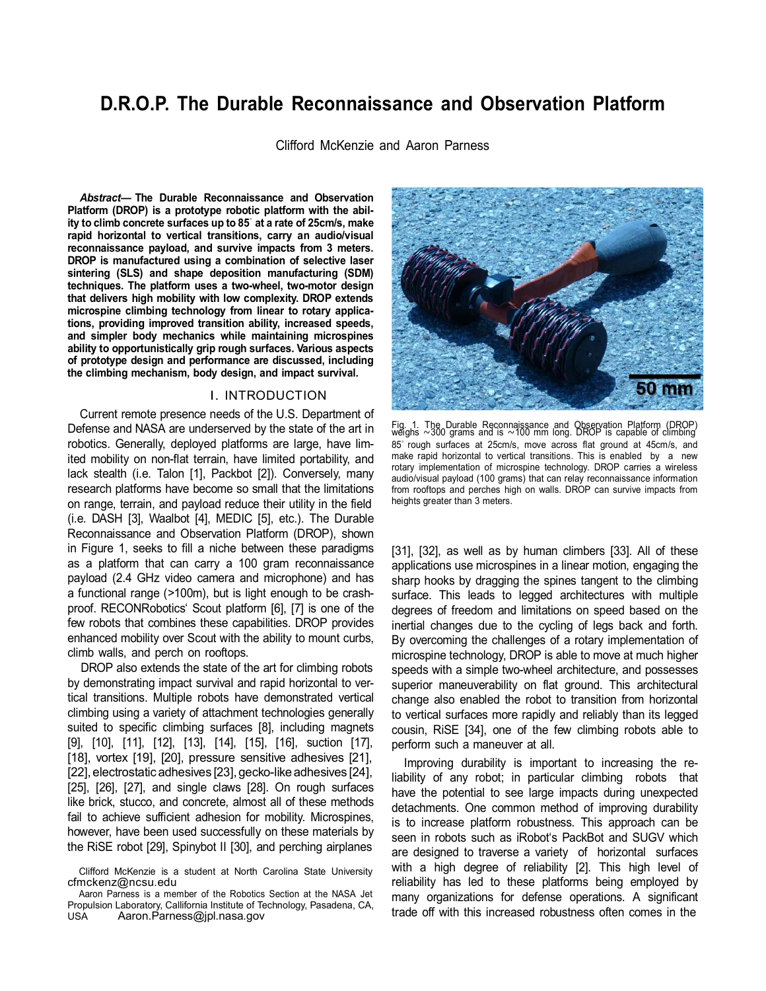# **D.R.O.P. The Durable Reconnaissance and Observation Platform**

Clifford McKenzie and Aaron Parness

*Abstract***— The Durable Reconnaissance and Observation Platform (DROP) is a prototype robotic platform with the ability to climb concrete surfaces up to 85***◦* **at a rate of 25cm/s, make rapid horizontal to vertical transitions, carry an audio/visual reconnaissance payload, and survive impacts from 3 meters. DROP is manufactured using a combination of selective laser sintering (SLS) and shape deposition manufacturing (SDM) techniques. The platform uses a two-wheel, two-motor design that delivers high mobility with low complexity. DROP extends microspine climbing technology from linear to rotary applications, providing improved transition ability, increased speeds, and simpler body mechanics while maintaining microspines ability to opportunistically grip rough surfaces. Various aspects of prototype design and performance are discussed, including the climbing mechanism, body design, and impact survival.**

## I. INTRODUCTION

Current remote presence needs of the U.S. Department of Defense and NASA are underserved by the state of the art in robotics. Generally, deployed platforms are large, have limited mobility on non-flat terrain, have limited portability, and lack stealth (i.e. Talon [1], Packbot [2]). Conversely, many research platforms have become so small that the limitations on range, terrain, and payload reduce their utility in the field (i.e. DASH [3], Waalbot [4], MEDIC [5], etc.). The Durable Reconnaissance and Observation Platform (DROP), shown in Figure 1, seeks to fill a niche between these paradigms as a platform that can carry a 100 gram reconnaissance payload (2.4 GHz video camera and microphone) and has a functional range (*>*100m), but is light enough to be crashproof. RECONRobotics' Scout platform [6], [7] is one of the few robots that combines these capabilities. DROP provides enhanced mobility over Scout with the ability to mount curbs, climb walls, and perch on rooftops.

DROP also extends the state of the art for climbing robots by demonstrating impact survival and rapid horizontal to vertical transitions. Multiple robots have demonstrated vertical climbing using a variety of attachment technologies generally suited to specific climbing surfaces [8], including magnets [9], [10], [11], [12], [13], [14], [15], [16], suction [17], [18], vortex [19], [20], pressure sensitive adhesives [21], [22], electrostatic adhesives [23], gecko-like adhesives [24], [25], [26], [27], and single claws [28]. On rough surfaces like brick, stucco, and concrete, almost all of these methods fail to achieve sufficient adhesion for mobility. Microspines, however, have been used successfully on these materials by the RiSE robot [29], Spinybot II [30], and perching airplanes



Fig. 1. The Durable Reconnaissance and Observation Platform (DROP) weighs *<sup>∼</sup>*<sup>300</sup> grams and is *<sup>∼</sup>*<sup>100</sup> mm long. DROP is capable of climbing 85*◦* rough surfaces at 25cm/s, move across flat ground at 45cm/s, and make rapid horizontal to vertical transitions. This is enabled by a new rotary implementation of microspine technology. DROP carries a wireless audio/visual payload (100 grams) that can relay reconnaissance information from rooftops and perches high on walls. DROP can survive impacts from heights greater than 3 meters.

[31], [32], as well as by human climbers [33]. All of these applications use microspines in a linear motion, engaging the sharp hooks by dragging the spines tangent to the climbing surface. This leads to legged architectures with multiple degrees of freedom and limitations on speed based on the inertial changes due to the cycling of legs back and forth. By overcoming the challenges of a rotary implementation of microspine technology, DROP is able to move at much higher speeds with a simple two-wheel architecture, and possesses superior maneuverability on flat ground. This architectural change also enabled the robot to transition from horizontal to vertical surfaces more rapidly and reliably than its legged cousin, RiSE [34], one of the few climbing robots able to perform such a maneuver at all.

Improving durability is important to increasing the reliability of any robot; in particular climbing robots that have the potential to see large impacts during unexpected detachments. One common method of improving durability is to increase platform robustness. This approach can be seen in robots such as iRobot's PackBot and SUGV which are designed to traverse a variety of horizontal surfaces with a high degree of reliability [2]. This high level of reliability has led to these platforms being employed by many organizations for defense operations. A significant trade off with this increased robustness often comes in the

Clifford McKenzie is a student at North Carolina State University [cfmckenz@ncsu.edu](mailto:cfmckenz@ncsu.edu)

Aaron Parness is a member of the Robotics Section at the NASA Jet Propulsion Laboratory, Callifornia Institute of Technology, Pasadena, CA, USA [Aaron.Parness@jpl.nasa.gov](mailto:Aaron.Parness@jpl.nasa.gov)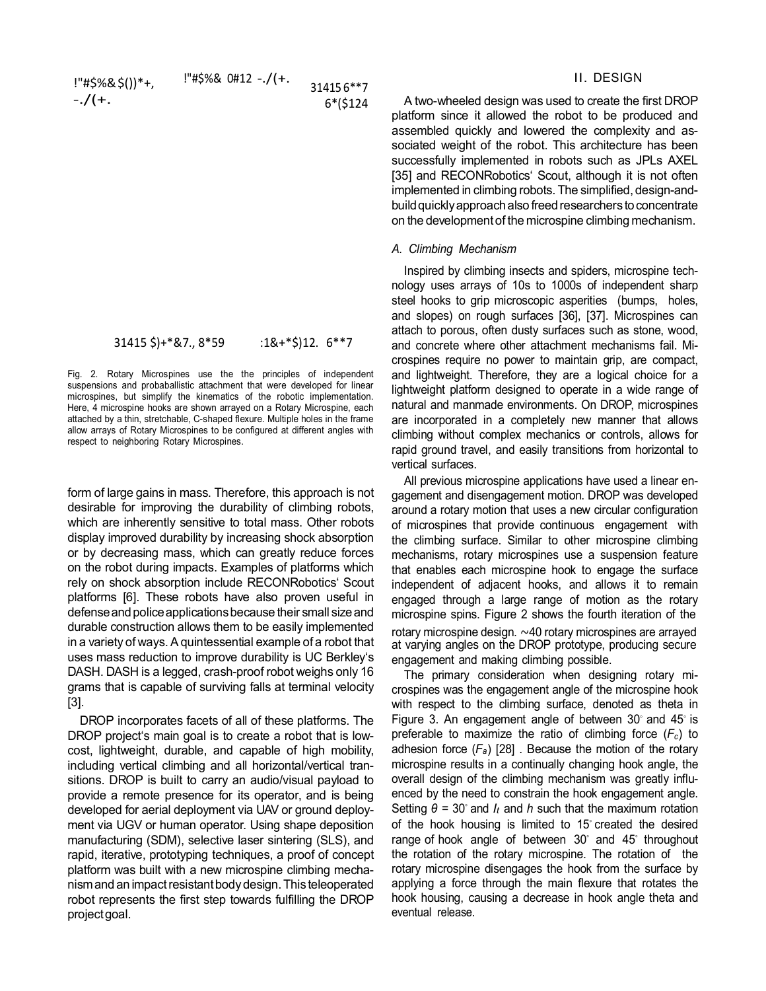| !"#\$%&\$())*+, | $!$ "#\$%& 0#12 -./(+. | 314156**7  |
|-----------------|------------------------|------------|
| $-./(+.$        |                        | $6*($124)$ |

$$
31415 \text{ } \frac{1}{5} + ^* \text{ } 87, 8^* \text{ } 59 \qquad : 1 \text{ } 8 + ^* \text{ } \frac{1}{5} \text{ } 12. 6^{**} \text{ } 7
$$

Fig. 2. Rotary Microspines use the the principles of independent suspensions and probaballistic attachment that were developed for linear microspines, but simplify the kinematics of the robotic implementation. Here, 4 microspine hooks are shown arrayed on a Rotary Microspine, each attached by a thin, stretchable, C-shaped flexure. Multiple holes in the frame allow arrays of Rotary Microspines to be configured at different angles with respect to neighboring Rotary Microspines.

form of large gains in mass. Therefore, this approach is not desirable for improving the durability of climbing robots, which are inherently sensitive to total mass. Other robots display improved durability by increasing shock absorption or by decreasing mass, which can greatly reduce forces on the robot during impacts. Examples of platforms which rely on shock absorption include RECONRobotics' Scout platforms [6]. These robots have also proven useful in defense and police applications because their small size and durable construction allows them to be easily implemented in a variety of ways. A quintessential example of a robot that uses mass reduction to improve durability is UC Berkley's DASH. DASH is a legged, crash-proof robot weighs only 16 grams that is capable of surviving falls at terminal velocity [3].

DROP incorporates facets of all of these platforms. The DROP project's main goal is to create a robot that is lowcost, lightweight, durable, and capable of high mobility, including vertical climbing and all horizontal/vertical transitions. DROP is built to carry an audio/visual payload to provide a remote presence for its operator, and is being developed for aerial deployment via UAV or ground deployment via UGV or human operator. Using shape deposition manufacturing (SDM), selective laser sintering (SLS), and rapid, iterative, prototyping techniques, a proof of concept platform was built with a new microspine climbing mechanismand an impactresistantbodydesign.This teleoperated robot represents the first step towards fulfilling the DROP projectgoal.

# II. DESIGN

A two-wheeled design was used to create the first DROP platform since it allowed the robot to be produced and assembled quickly and lowered the complexity and associated weight of the robot. This architecture has been successfully implemented in robots such as JPLs AXEL [35] and RECONRobotics' Scout, although it is not often implemented in climbing robots. The simplified, design-andbuild quickly approach also freed researchers to concentrate on the developmentof the microspine climbing mechanism.

### *A. Climbing Mechanism*

Inspired by climbing insects and spiders, microspine technology uses arrays of 10s to 1000s of independent sharp steel hooks to grip microscopic asperities (bumps, holes, and slopes) on rough surfaces [36], [37]. Microspines can attach to porous, often dusty surfaces such as stone, wood, and concrete where other attachment mechanisms fail. Microspines require no power to maintain grip, are compact, and lightweight. Therefore, they are a logical choice for a lightweight platform designed to operate in a wide range of natural and manmade environments. On DROP, microspines are incorporated in a completely new manner that allows climbing without complex mechanics or controls, allows for rapid ground travel, and easily transitions from horizontal to vertical surfaces.

All previous microspine applications have used a linear engagement and disengagement motion. DROP was developed around a rotary motion that uses a new circular configuration of microspines that provide continuous engagement with the climbing surface. Similar to other microspine climbing mechanisms, rotary microspines use a suspension feature that enables each microspine hook to engage the surface independent of adjacent hooks, and allows it to remain engaged through a large range of motion as the rotary microspine spins. Figure 2 shows the fourth iteration of the rotary microspine design. *∼*40 rotary microspines are arrayed at varying angles on the DROP prototype, producing secure engagement and making climbing possible.

The primary consideration when designing rotary microspines was the engagement angle of the microspine hook with respect to the climbing surface, denoted as theta in Figure 3. An engagement angle of between 30*◦* and 45*◦* is preferable to maximize the ratio of climbing force  $(F_c)$  to adhesion force (*Fa*) [28] . Because the motion of the rotary microspine results in a continually changing hook angle, the overall design of the climbing mechanism was greatly influenced by the need to constrain the hook engagement angle. Setting *θ* = 30*◦* and *lt* and *h* such that the maximum rotation of the hook housing is limited to 15*◦* created the desired range of hook angle of between 30*◦* and 45*◦* throughout the rotation of the rotary microspine. The rotation of the rotary microspine disengages the hook from the surface by applying a force through the main flexure that rotates the hook housing, causing a decrease in hook angle theta and eventual release.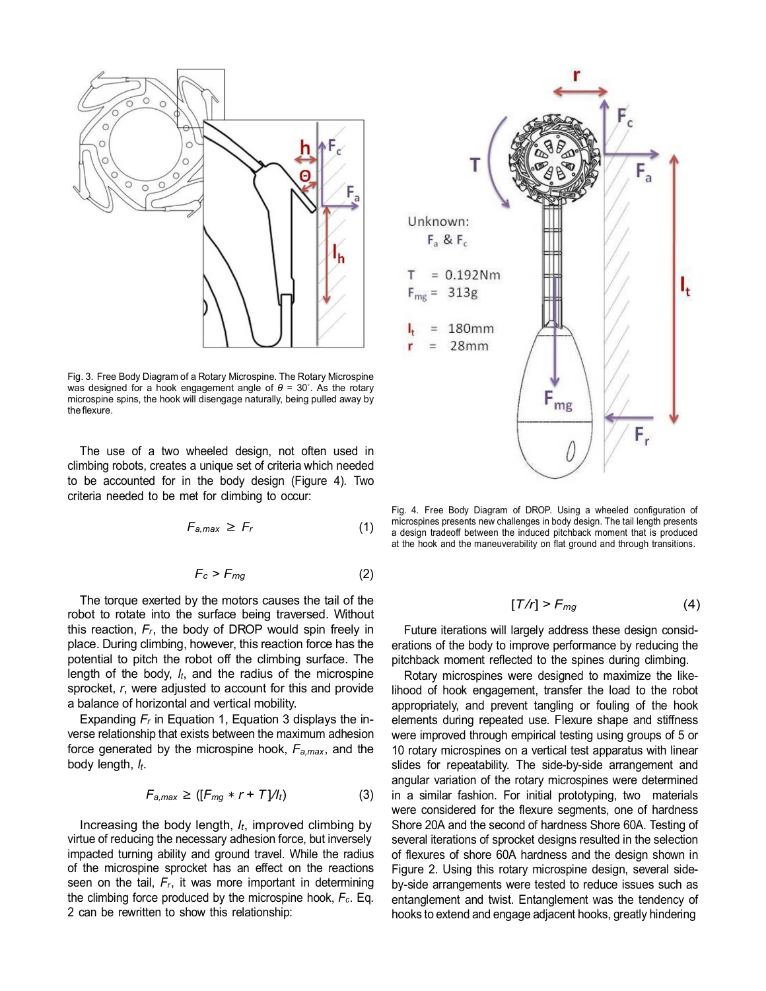

Fig. 3. Free Body Diagram of a Rotary Microspine. The Rotary Microspine was designed for a hook engagement angle of *θ* = 30*◦* . As the rotary microspine spins, the hook will disengage naturally, being pulled away by the flexure.

The use of a two wheeled design, not often used in climbing robots, creates a unique set of criteria which needed to be accounted for in the body design (Figure 4). Two criteria needed to be met for climbing to occur:

$$
F_{a,max} \geq F_r \tag{1}
$$

$$
F_c > F_{mg} \tag{2}
$$

The torque exerted by the motors causes the tail of the robot to rotate into the surface being traversed. Without this reaction,  $F_r$ , the body of DROP would spin freely in place. During climbing, however, this reaction force has the potential to pitch the robot off the climbing surface. The length of the body, *lt*, and the radius of the microspine sprocket, *r*, were adjusted to account for this and provide a balance of horizontal and vertical mobility.

Expanding *Fr* in Equation 1, Equation 3 displays the inverse relationship that exists between the maximum adhesion force generated by the microspine hook, *Fa,max*, and the body length, *lt*.

$$
F_{a,max} \geq ([F_{mg} * r + T]/l_t)
$$
 (3)

Increasing the body length, *lt*, improved climbing by virtue of reducing the necessary adhesion force, but inversely impacted turning ability and ground travel. While the radius of the microspine sprocket has an effect on the reactions seen on the tail,  $F_r$ , it was more important in determining the climbing force produced by the microspine hook, *Fc*. Eq. 2 can be rewritten to show this relationship:



Fig. 4. Free Body Diagram of DROP. Using a wheeled configuration of microspines presents new challenges in body design. The tail length presents a design tradeoff between the induced pitchback moment that is produced at the hook and the maneuverability on flat ground and through transitions.

$$
[T/r] > F_{mg} \tag{4}
$$

Future iterations will largely address these design considerations of the body to improve performance by reducing the pitchback moment reflected to the spines during climbing.

Rotary microspines were designed to maximize the likelihood of hook engagement, transfer the load to the robot appropriately, and prevent tangling or fouling of the hook elements during repeated use. Flexure shape and stiffness were improved through empirical testing using groups of 5 or 10 rotary microspines on a vertical test apparatus with linear slides for repeatability. The side-by-side arrangement and angular variation of the rotary microspines were determined in a similar fashion. For initial prototyping, two materials were considered for the flexure segments, one of hardness Shore 20A and the second of hardness Shore 60A. Testing of several iterations of sprocket designs resulted in the selection of flexures of shore 60A hardness and the design shown in Figure 2. Using this rotary microspine design, several sideby-side arrangements were tested to reduce issues such as entanglement and twist. Entanglement was the tendency of hooks to extend and engage adjacent hooks, greatly hindering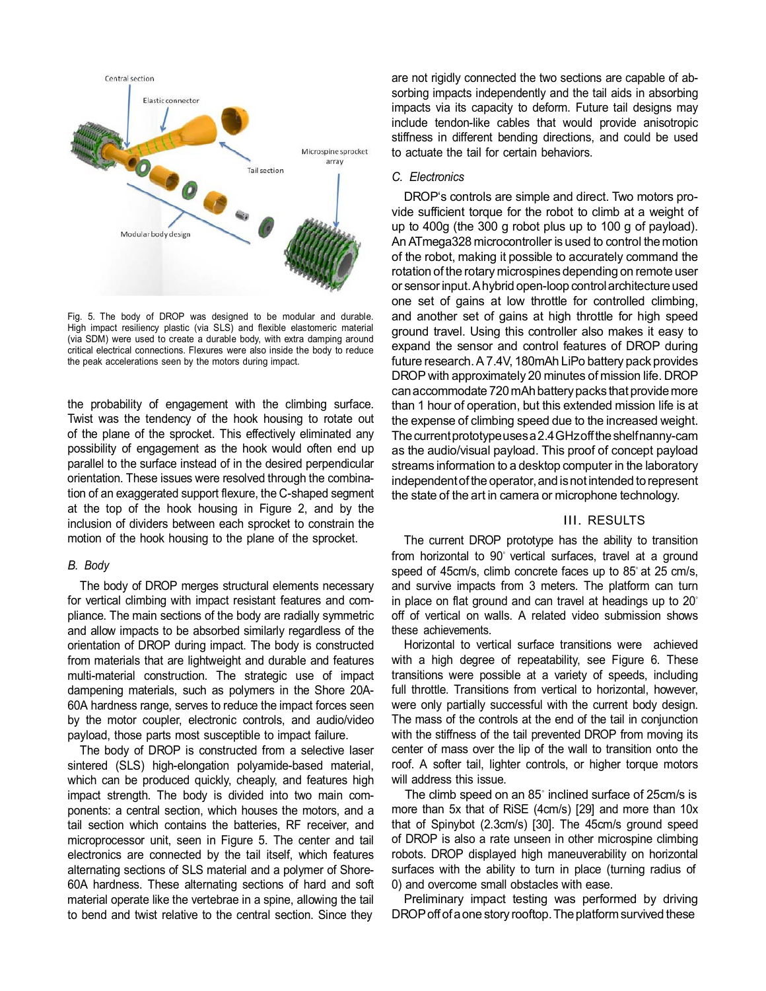

Fig. 5. The body of DROP was designed to be modular and durable. High impact resiliency plastic (via SLS) and flexible elastomeric material (via SDM) were used to create a durable body, with extra damping around critical electrical connections. Flexures were also inside the body to reduce the peak accelerations seen by the motors during impact.

the probability of engagement with the climbing surface. Twist was the tendency of the hook housing to rotate out of the plane of the sprocket. This effectively eliminated any possibility of engagement as the hook would often end up parallel to the surface instead of in the desired perpendicular orientation. These issues were resolved through the combination of an exaggerated support flexure, the C-shaped segment at the top of the hook housing in Figure 2, and by the inclusion of dividers between each sprocket to constrain the motion of the hook housing to the plane of the sprocket.

# *B. Body*

The body of DROP merges structural elements necessary for vertical climbing with impact resistant features and compliance. The main sections of the body are radially symmetric and allow impacts to be absorbed similarly regardless of the orientation of DROP during impact. The body is constructed from materials that are lightweight and durable and features multi-material construction. The strategic use of impact dampening materials, such as polymers in the Shore 20A-60A hardness range, serves to reduce the impact forces seen by the motor coupler, electronic controls, and audio/video payload, those parts most susceptible to impact failure.

The body of DROP is constructed from a selective laser sintered (SLS) high-elongation polyamide-based material, which can be produced quickly, cheaply, and features high impact strength. The body is divided into two main components: a central section, which houses the motors, and a tail section which contains the batteries, RF receiver, and microprocessor unit, seen in Figure 5. The center and tail electronics are connected by the tail itself, which features alternating sections of SLS material and a polymer of Shore-60A hardness. These alternating sections of hard and soft material operate like the vertebrae in a spine, allowing the tail to bend and twist relative to the central section. Since they

are not rigidly connected the two sections are capable of absorbing impacts independently and the tail aids in absorbing impacts via its capacity to deform. Future tail designs may include tendon-like cables that would provide anisotropic stiffness in different bending directions, and could be used to actuate the tail for certain behaviors.

#### *C. Electronics*

DROP's controls are simple and direct. Two motors provide sufficient torque for the robot to climb at a weight of up to 400g (the 300 g robot plus up to 100 g of payload). An ATmega328 microcontroller is used to control the motion of the robot, making it possible to accurately command the rotation of the rotary microspines depending on remote user or sensor input. A hybrid open-loop control architecture used one set of gains at low throttle for controlled climbing, and another set of gains at high throttle for high speed ground travel. Using this controller also makes it easy to expand the sensor and control features of DROP during future research. A 7.4V, 180mAh LiPo battery pack provides DROP with approximately 20 minutes of mission life. DROP can accommodate 720 mAh battery packs that provide more than 1 hour of operation, but this extended mission life is at the expense of climbing speed due to the increased weight. The current prototype uses a 2.4 GHz off the shelf nanny-cam as the audio/visual payload. This proof of concept payload streams information to a desktop computer in the laboratory independent of the operator, and is not intended to represent the state of the art in camera or microphone technology.

# III. RESULTS

The current DROP prototype has the ability to transition from horizontal to 90<sup>*®*</sup> vertical surfaces, travel at a ground speed of 45cm/s, climb concrete faces up to 85*◦* at 25 cm/s, and survive impacts from 3 meters. The platform can turn in place on flat ground and can travel at headings up to 20*◦* off of vertical on walls. A related video submission shows these achievements.

Horizontal to vertical surface transitions were achieved with a high degree of repeatability, see Figure 6. These transitions were possible at a variety of speeds, including full throttle. Transitions from vertical to horizontal, however, were only partially successful with the current body design. The mass of the controls at the end of the tail in conjunction with the stiffness of the tail prevented DROP from moving its center of mass over the lip of the wall to transition onto the roof. A softer tail, lighter controls, or higher torque motors will address this issue.

The climb speed on an 85*◦* inclined surface of 25cm/s is more than 5x that of RiSE (4cm/s) [29] and more than 10x that of Spinybot (2.3cm/s) [30]. The 45cm/s ground speed of DROP is also a rate unseen in other microspine climbing robots. DROP displayed high maneuverability on horizontal surfaces with the ability to turn in place (turning radius of 0) and overcome small obstacles with ease.

Preliminary impact testing was performed by driving DROP off of a one story rooftop. The platform survived these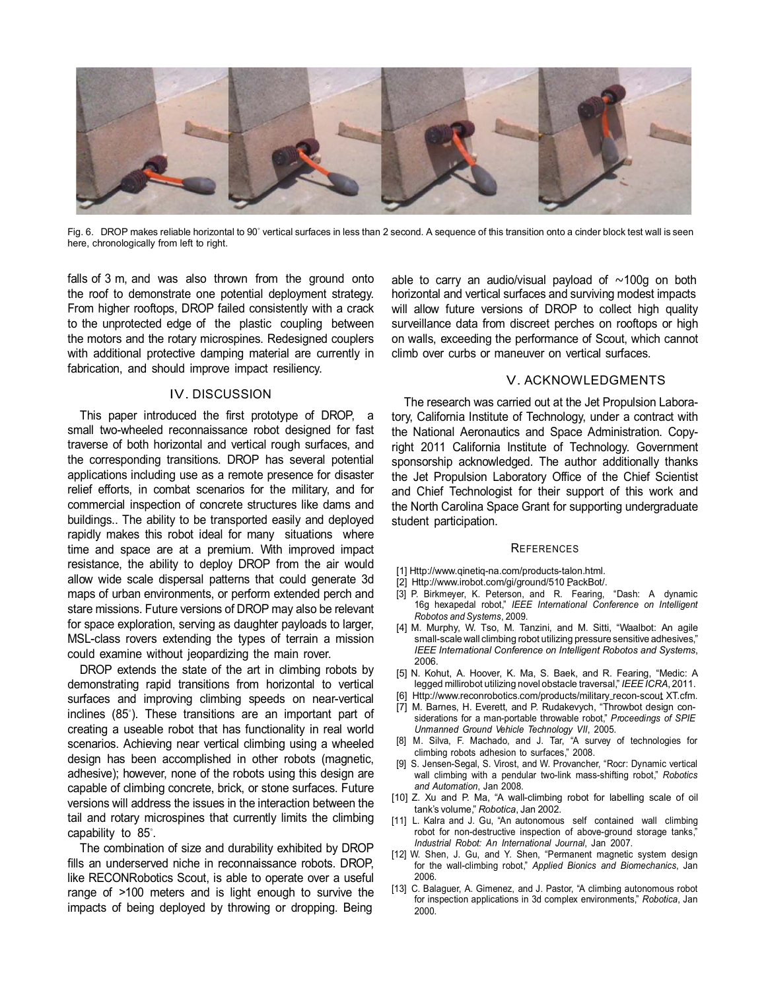

Fig. 6. DROP makes reliable horizontal to 90*◦* vertical surfaces in less than 2 second. A sequence of this transition onto a cinder block test wall is seen here, chronologically from left to right.

falls of 3 m, and was also thrown from the ground onto the roof to demonstrate one potential deployment strategy. From higher rooftops, DROP failed consistently with a crack to the unprotected edge of the plastic coupling between the motors and the rotary microspines. Redesigned couplers with additional protective damping material are currently in fabrication, and should improve impact resiliency.

# IV. DISCUSSION

This paper introduced the first prototype of DROP, a small two-wheeled reconnaissance robot designed for fast traverse of both horizontal and vertical rough surfaces, and the corresponding transitions. DROP has several potential applications including use as a remote presence for disaster relief efforts, in combat scenarios for the military, and for commercial inspection of concrete structures like dams and buildings.. The ability to be transported easily and deployed rapidly makes this robot ideal for many situations where time and space are at a premium. With improved impact resistance, the ability to deploy DROP from the air would allow wide scale dispersal patterns that could generate 3d maps of urban environments, or perform extended perch and stare missions. Future versions of DROP may also be relevant for space exploration, serving as daughter payloads to larger, MSL-class rovers extending the types of terrain a mission could examine without jeopardizing the main rover.

DROP extends the state of the art in climbing robots by demonstrating rapid transitions from horizontal to vertical surfaces and improving climbing speeds on near-vertical inclines (85*◦* ). These transitions are an important part of creating a useable robot that has functionality in real world scenarios. Achieving near vertical climbing using a wheeled design has been accomplished in other robots (magnetic, adhesive); however, none of the robots using this design are capable of climbing concrete, brick, or stone surfaces. Future versions will address the issues in the interaction between the tail and rotary microspines that currently limits the climbing capability to 85*◦* .

The combination of size and durability exhibited by DROP fills an underserved niche in reconnaissance robots. DROP, like RECONRobotics Scout, is able to operate over a useful range of *>*100 meters and is light enough to survive the impacts of being deployed by throwing or dropping. Being

able to carry an audio/visual payload of *∼*100g on both horizontal and vertical surfaces and surviving modest impacts will allow future versions of DROP to collect high quality surveillance data from discreet perches on rooftops or high on walls, exceeding the performance of Scout, which cannot climb over curbs or maneuver on vertical surfaces.

## V. ACKNOWLEDGMENTS

The research was carried out at the Jet Propulsion Laboratory, California Institute of Technology, under a contract with the National Aeronautics and Space Administration. Copyright 2011 California Institute of Technology. Government sponsorship acknowledged. The author additionally thanks the Jet Propulsion Laboratory Office of the Chief Scientist and Chief Technologist for their support of this work and the North Carolina Space Grant for supporting undergraduate student participation.

#### **REFERENCES**

- [1] [Http://www.qinetiq-na.com/products-talon.html.](http://www.qinetiq-na.com/products-talon.html)
- [2] [Http://www.irobot.com/gi/ground/510](http://www.irobot.com/gi/ground/510) PackBot/.
- [3] P. Birkmeyer, K. Peterson, and R. Fearing, "Dash: A dynamic 16g hexapedal robot," *IEEE International Conference on Intelligent Robotos and Systems*, 2009.
- [4] M. Murphy, W. Tso, M. Tanzini, and M. Sitti, "Waalbot: An agile small-scale wall climbing robot utilizing pressure sensitive adhesives," *IEEE International Conference on Intelligent Robotos and Systems*, 2006.
- [5] N. Kohut, A. Hoover, K. Ma, S. Baek, and R. Fearing, "Medic: A legged millirobot utilizing novel obstacle traversal," *IEEE ICRA*, 2011.
- [6] [Http://www.reconrobotics.com/products/military](http://www.reconrobotics.com/products/military)\_recon-scout XT.cfm.
- [7] M. Barnes, H. Everett, and P. Rudakevych, "Throwbot design considerations for a man-portable throwable robot," *Proceedings of SPIE Unmanned Ground Vehicle Technology VII*, 2005.
- [8] M. Silva, F. Machado, and J. Tar, "A survey of technologies for climbing robots adhesion to surfaces," 2008.
- [9] S. Jensen-Segal, S. Virost, and W. Provancher, "Rocr: Dynamic vertical wall climbing with a pendular two-link mass-shifting robot," *Robotics and Automation*, Jan 2008.
- [10] Z. Xu and P. Ma, "A wall-climbing robot for labelling scale of oil tank's volume," *Robotica*, Jan 2002.
- [11] L. Kalra and J. Gu, "An autonomous self contained wall climbing robot for non-destructive inspection of above-ground storage tanks," *Industrial Robot: An International Journal*, Jan 2007.
- [12] W. Shen, J. Gu, and Y. Shen, "Permanent magnetic system design for the wall-climbing robot," *Applied Bionics and Biomechanics*, Jan 2006.
- [13] C. Balaguer, A. Gimenez, and J. Pastor, "A climbing autonomous robot for inspection applications in 3d complex environments," *Robotica*, Jan 2000.